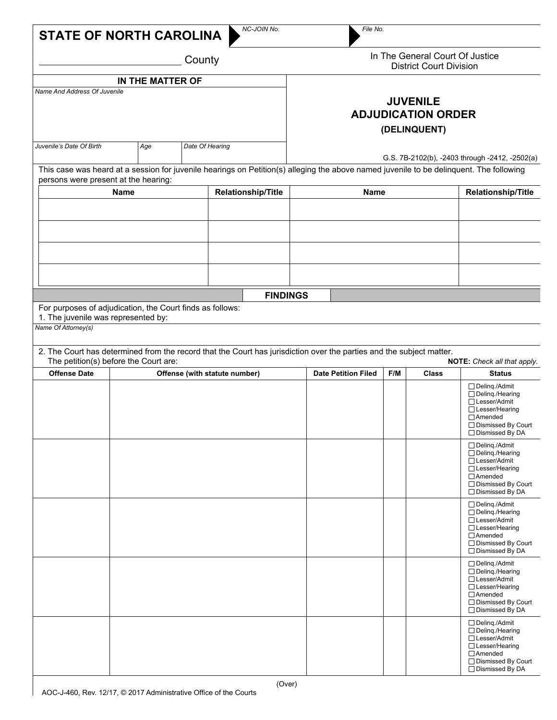| <b>STATE OF NORTH CAROLINA</b>                                                                                          |  |  |  | NC-JOIN No.                                                                                                                             |                                                                                                                                   | File No.                   |     |       |                                                                                                                                                     |
|-------------------------------------------------------------------------------------------------------------------------|--|--|--|-----------------------------------------------------------------------------------------------------------------------------------------|-----------------------------------------------------------------------------------------------------------------------------------|----------------------------|-----|-------|-----------------------------------------------------------------------------------------------------------------------------------------------------|
| County<br>IN THE MATTER OF<br>Name And Address Of Juvenile                                                              |  |  |  |                                                                                                                                         | In The General Court Of Justice<br><b>District Court Division</b><br><b>JUVENILE</b><br><b>ADJUDICATION ORDER</b><br>(DELINQUENT) |                            |     |       |                                                                                                                                                     |
|                                                                                                                         |  |  |  |                                                                                                                                         |                                                                                                                                   |                            |     |       |                                                                                                                                                     |
| persons were present at the hearing:                                                                                    |  |  |  | This case was heard at a session for juvenile hearings on Petition(s) alleging the above named juvenile to be delinquent. The following |                                                                                                                                   |                            |     |       |                                                                                                                                                     |
| <b>Name</b>                                                                                                             |  |  |  | <b>Relationship/Title</b>                                                                                                               |                                                                                                                                   | <b>Name</b>                |     |       | <b>Relationship/Title</b>                                                                                                                           |
|                                                                                                                         |  |  |  |                                                                                                                                         |                                                                                                                                   |                            |     |       |                                                                                                                                                     |
|                                                                                                                         |  |  |  |                                                                                                                                         |                                                                                                                                   |                            |     |       |                                                                                                                                                     |
|                                                                                                                         |  |  |  |                                                                                                                                         |                                                                                                                                   |                            |     |       |                                                                                                                                                     |
|                                                                                                                         |  |  |  | <b>FINDINGS</b>                                                                                                                         |                                                                                                                                   |                            |     |       |                                                                                                                                                     |
| For purposes of adjudication, the Court finds as follows:<br>1. The juvenile was represented by:<br>Name Of Attorney(s) |  |  |  |                                                                                                                                         |                                                                                                                                   |                            |     |       |                                                                                                                                                     |
| The petition(s) before the Court are:                                                                                   |  |  |  | 2. The Court has determined from the record that the Court has jurisdiction over the parties and the subject matter.                    |                                                                                                                                   |                            |     |       | NOTE: Check all that apply.                                                                                                                         |
| <b>Offense Date</b>                                                                                                     |  |  |  | Offense (with statute number)                                                                                                           |                                                                                                                                   | <b>Date Petition Filed</b> | F/M | Class | <b>Status</b>                                                                                                                                       |
|                                                                                                                         |  |  |  |                                                                                                                                         |                                                                                                                                   |                            |     |       | □ Delinq./Admit<br>$\Box$ Deling./Hearing<br>□ Lesser/Admit<br>$\Box$ Lesser/Hearing<br>$\Box$ Amended<br>□ Dismissed By Court<br>□ Dismissed By DA |
|                                                                                                                         |  |  |  |                                                                                                                                         |                                                                                                                                   |                            |     |       | □ Deling./Admit<br>$\Box$ Deling./Hearing<br>□ Lesser/Admit<br>□ Lesser/Hearing<br>$\Box$ Amended<br>□ Dismissed By Court<br>□ Dismissed By DA      |
|                                                                                                                         |  |  |  |                                                                                                                                         |                                                                                                                                   |                            |     |       | □ Delinq./Admit<br>□ Delinq./Hearing<br>□ Lesser/Admit<br>$\Box$ Lesser/Hearing<br>□Amended<br>□ Dismissed By Court<br>□ Dismissed By DA            |
|                                                                                                                         |  |  |  |                                                                                                                                         |                                                                                                                                   |                            |     |       | □ Deling./Admit<br>$\Box$ Deling./Hearing<br>□ Lesser/Admit<br>□ Lesser/Hearing<br>$\Box$ Amended<br>$\Box$ Dismissed By Court<br>□ Dismissed By DA |
|                                                                                                                         |  |  |  |                                                                                                                                         |                                                                                                                                   |                            |     |       | $\Box$ Deling./Admit<br>□ Delinq./Hearing<br>□ Lesser/Admit<br>□ Lesser/Hearing<br>□ Amended<br>□ Dismissed By Court<br>□ Dismissed By DA           |

 $\mathbf{I}$